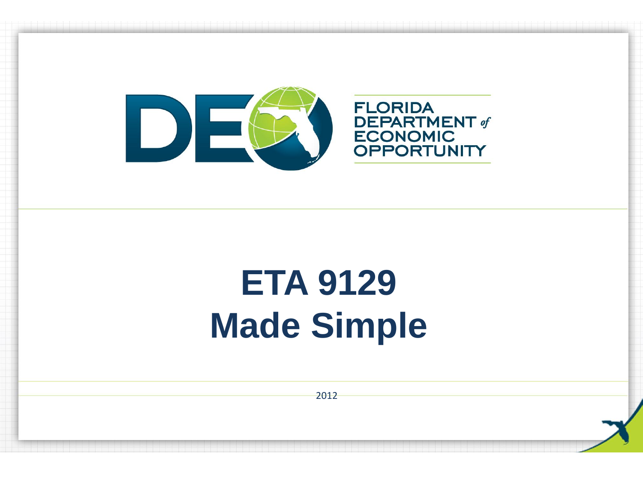

# **ETA 9129 Made Simple**

2012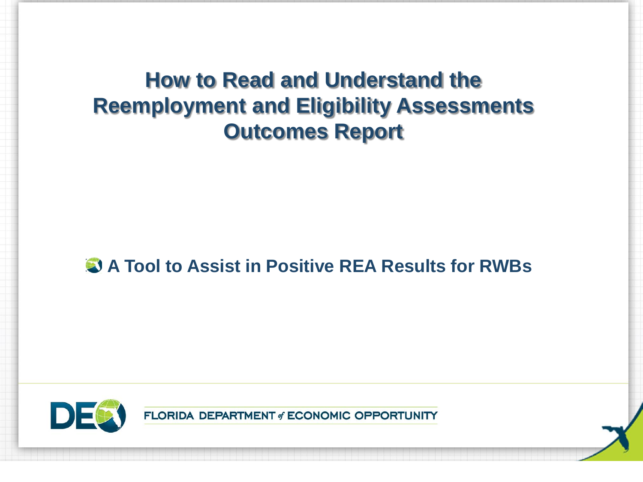# **How to Read and Understand the Reemployment and Eligibility Assessments Outcomes Report**

### **A Tool to Assist in Positive REA Results for RWBs**

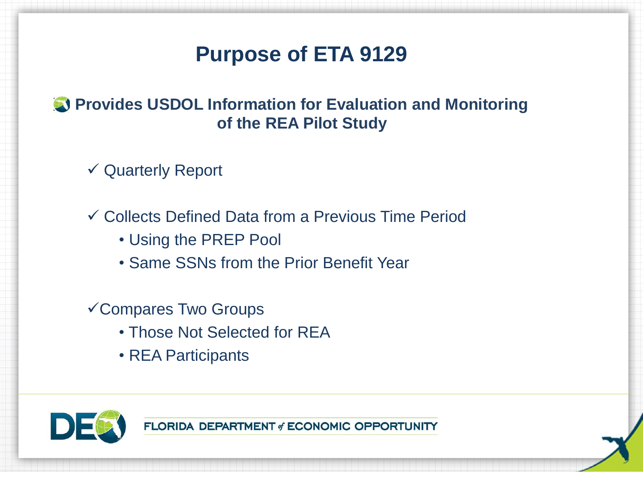# **Purpose of ETA 9129**

### **Provides USDOL Information for Evaluation and Monitoring of the REA Pilot Study**

Quarterly Report

Collects Defined Data from a Previous Time Period

- Using the PREP Pool
- Same SSNs from the Prior Benefit Year

### Compares Two Groups

- Those Not Selected for REA
- REA Participants

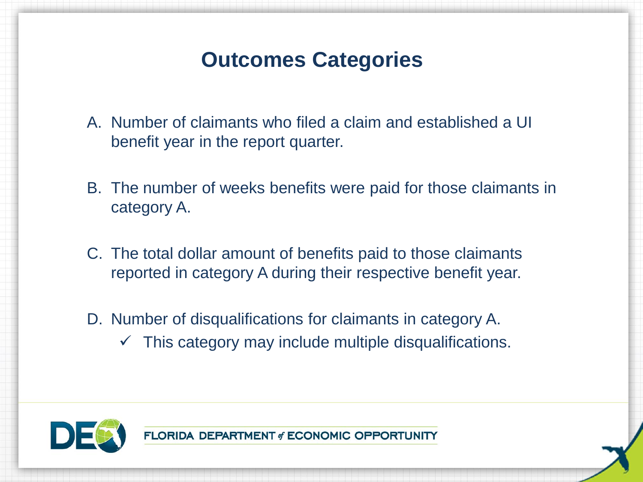# **Outcomes Categories**

- A. Number of claimants who filed a claim and established a UI benefit year in the report quarter.
- B. The number of weeks benefits were paid for those claimants in category A.
- C. The total dollar amount of benefits paid to those claimants reported in category A during their respective benefit year.
- D. Number of disqualifications for claimants in category A.  $\checkmark$  This category may include multiple disqualifications.

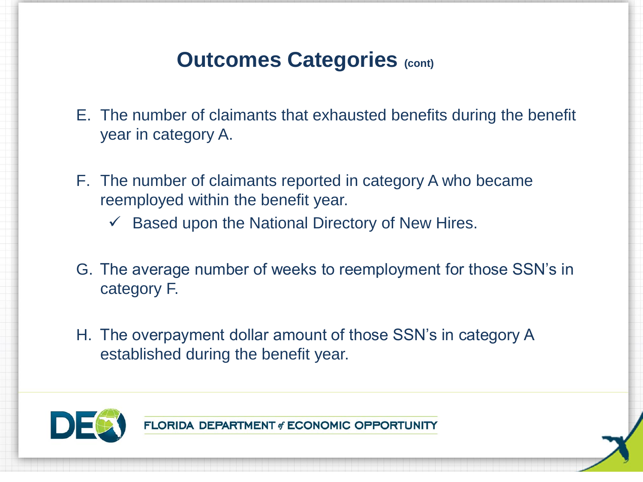# **Outcomes Categories (cont)**

- E. The number of claimants that exhausted benefits during the benefit year in category A.
- F. The number of claimants reported in category A who became reemployed within the benefit year.
	- $\checkmark$  Based upon the National Directory of New Hires.
- G. The average number of weeks to reemployment for those SSN's in category F.
- H. The overpayment dollar amount of those SSN's in category A established during the benefit year.

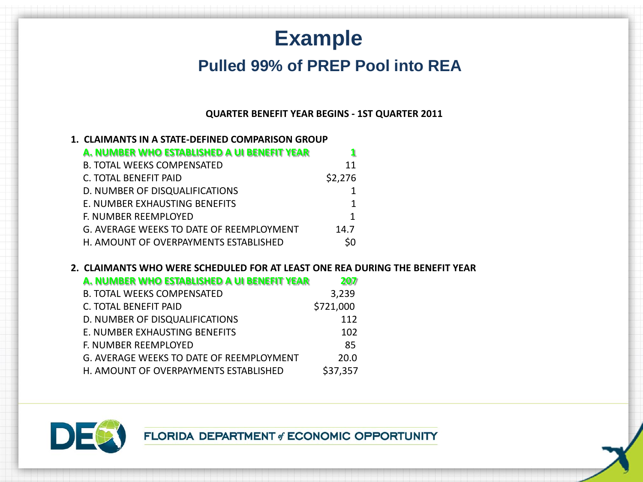# **Example**

### **Pulled 99% of PREP Pool into REA**

#### **QUARTER BENEFIT YEAR BEGINS - 1ST QUARTER 2011**

| 1. CLAIMANTS IN A STATE-DEFINED COMPARISON GROUP |         |
|--------------------------------------------------|---------|
| A. NUMBER WHO ESTABLISHED A UI BENEFIT YEAR      |         |
| <b>B. TOTAL WEEKS COMPENSATED</b>                | 11      |
| C. TOTAL BENEFIT PAID                            | \$2,276 |
| D. NUMBER OF DISQUALIFICATIONS                   |         |
| E. NUMBER EXHAUSTING BENEFITS                    | 1       |
| F. NUMBER REEMPLOYED                             |         |
| G. AVERAGE WEEKS TO DATE OF REEMPLOYMENT         | 14.7    |
| H. AMOUNT OF OVERPAYMENTS ESTABLISHED            |         |

#### **2. CLAIMANTS WHO WERE SCHEDULED FOR AT LEAST ONE REA DURING THE BENEFIT YEAR**

| A. NUMBER WHO ESTABLISHED A UI BENEFIT YEAR | 207       |
|---------------------------------------------|-----------|
| <b>B. TOTAL WEEKS COMPENSATED</b>           | 3,239     |
| C. TOTAL BENEFIT PAID                       | \$721,000 |
| D. NUMBER OF DISQUALIFICATIONS              | 112       |
| E. NUMBER EXHAUSTING BENEFITS               | 102       |
| F. NUMBER REEMPLOYED                        | 85        |
| G. AVERAGE WEEKS TO DATE OF REEMPLOYMENT    | 20.0      |
| H. AMOUNT OF OVERPAYMENTS ESTABLISHED       | \$37,357  |

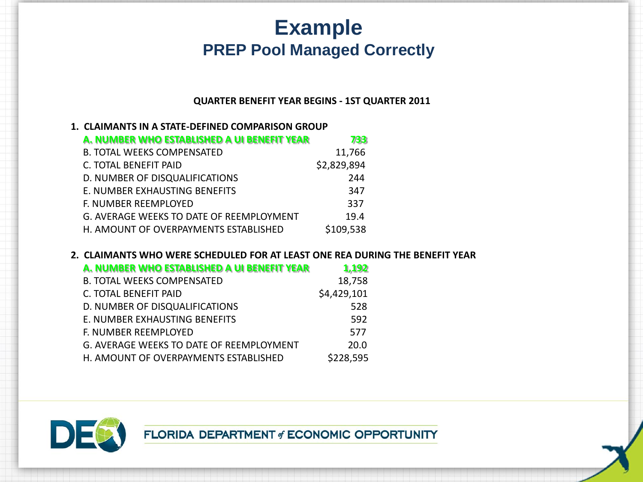# **Example PREP Pool Managed Correctly**

#### **QUARTER BENEFIT YEAR BEGINS - 1ST QUARTER 2011**

| 1. CLAIMANTS IN A STATE-DEFINED COMPARISON GROUP |
|--------------------------------------------------|
|--------------------------------------------------|

| A. NUMBER WHO ESTABLISHED A UI BENEFIT YEAR | 733         |
|---------------------------------------------|-------------|
| <b>B. TOTAL WEEKS COMPENSATED</b>           | 11,766      |
| C. TOTAL BENEFIT PAID                       | \$2,829,894 |
| D. NUMBER OF DISQUALIFICATIONS              | 244         |
| E. NUMBER EXHAUSTING BENEFITS               | 347         |
| F. NUMBER REEMPLOYED                        | 337         |
| G. AVERAGE WEEKS TO DATE OF REEMPLOYMENT    | 19.4        |
| H. AMOUNT OF OVERPAYMENTS ESTABLISHED       | \$109,538   |

#### **2. CLAIMANTS WHO WERE SCHEDULED FOR AT LEAST ONE REA DURING THE BENEFIT YEAR**

| A. NUMBER WHO ESTABLISHED A UI BENEFIT YEAR | 1,192       |
|---------------------------------------------|-------------|
| <b>B. TOTAL WEEKS COMPENSATED</b>           | 18,758      |
| C. TOTAL BENEFIT PAID                       | \$4,429,101 |
| D. NUMBER OF DISQUALIFICATIONS              | 528         |
| E. NUMBER EXHAUSTING BENEFITS               | 592         |
| F. NUMBER REEMPLOYED                        | 577         |
| G. AVERAGE WEEKS TO DATE OF REEMPLOYMENT    | 20.0        |
| H. AMOUNT OF OVERPAYMENTS ESTABLISHED       | \$228,595   |

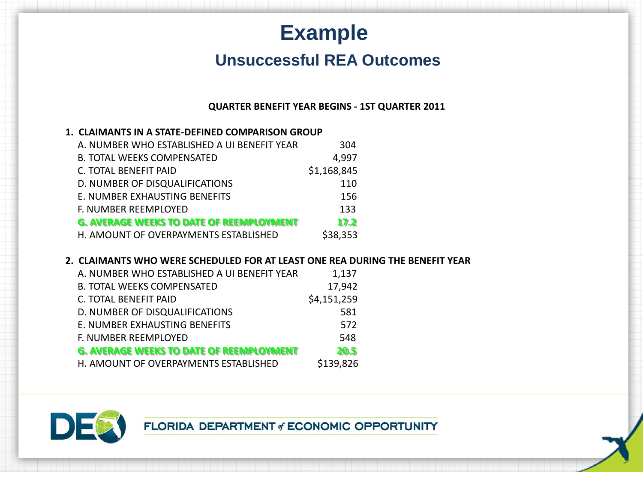# **Example**

### **Unsuccessful REA Outcomes**

#### **QUARTER BENEFIT YEAR BEGINS - 1ST QUARTER 2011**

#### **1. CLAIMANTS IN A STATE-DEFINED COMPARISON GROUP**

| A. NUMBER WHO ESTABLISHED A UI BENEFIT YEAR     | 304         |
|-------------------------------------------------|-------------|
| <b>B. TOTAL WEEKS COMPENSATED</b>               | 4,997       |
| <b>C. TOTAL BENEFIT PAID</b>                    | \$1,168,845 |
| D. NUMBER OF DISQUALIFICATIONS                  | 110         |
| E. NUMBER EXHAUSTING BENEFITS                   | 156         |
| F. NUMBER REEMPLOYED                            | 133         |
| <b>G. AVERAGE WEEKS TO DATE OF REEMPLOYMENT</b> | 17.2        |
| H. AMOUNT OF OVERPAYMENTS ESTABLISHED           | \$38,353    |

#### **2. CLAIMANTS WHO WERE SCHEDULED FOR AT LEAST ONE REA DURING THE BENEFIT YEAR**

| A. NUMBER WHO ESTABLISHED A UI BENEFIT YEAR     | 1,137       |
|-------------------------------------------------|-------------|
| <b>B. TOTAL WEEKS COMPENSATED</b>               | 17,942      |
| C. TOTAL BENEFIT PAID                           | \$4,151,259 |
| D. NUMBER OF DISQUALIFICATIONS                  | 581         |
| E. NUMBER EXHAUSTING BENEFITS                   | 572         |
| F. NUMBER REEMPLOYED                            | 548         |
| <b>G. AVERAGE WEEKS TO DATE OF REEMPLOYMENT</b> | 20.5        |
| H. AMOUNT OF OVERPAYMENTS ESTABLISHED           | \$139,826   |

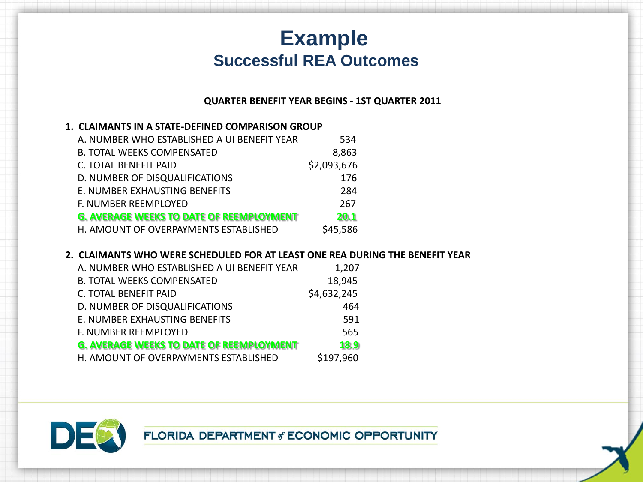# **Example Successful REA Outcomes**

#### **QUARTER BENEFIT YEAR BEGINS - 1ST QUARTER 2011**

#### **1. CLAIMANTS IN A STATE-DEFINED COMPARISON GROUP**

| A. NUMBER WHO ESTABLISHED A UI BENEFIT YEAR     | 534         |
|-------------------------------------------------|-------------|
| <b>B. TOTAL WEEKS COMPENSATED</b>               | 8,863       |
| C. TOTAL BENEFIT PAID                           | \$2,093,676 |
| D. NUMBER OF DISQUALIFICATIONS                  | 176         |
| E. NUMBER EXHAUSTING BENEFITS                   | 284         |
| F. NUMBER REEMPLOYED                            | 267         |
| <b>G. AVERAGE WEEKS TO DATE OF REEMPLOYMENT</b> | 20.1        |
| H. AMOUNT OF OVERPAYMENTS ESTABLISHED           | \$45,586    |

#### **2. CLAIMANTS WHO WERE SCHEDULED FOR AT LEAST ONE REA DURING THE BENEFIT YEAR**

| A. NUMBER WHO ESTABLISHED A UI BENEFIT YEAR     | 1,207       |
|-------------------------------------------------|-------------|
| <b>B. TOTAL WEEKS COMPENSATED</b>               | 18,945      |
| C. TOTAL BENEFIT PAID                           | \$4,632,245 |
| D. NUMBER OF DISQUALIFICATIONS                  | 464         |
| E. NUMBER EXHAUSTING BENEFITS                   | 591         |
| F. NUMBER REEMPLOYED                            | 565         |
| <b>G. AVERAGE WEEKS TO DATE OF REEMPLOYMENT</b> | 18.9        |
| H. AMOUNT OF OVERPAYMENTS ESTABLISHED           | \$197,960   |

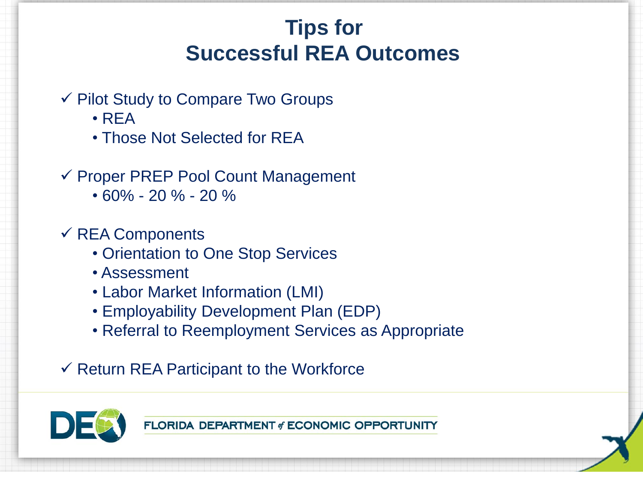# **Tips for Successful REA Outcomes**

- $\checkmark$  Pilot Study to Compare Two Groups
	- REA
	- Those Not Selected for REA
- $\checkmark$  Proper PREP Pool Count Management
	- 60% 20 % 20 %

## $\checkmark$  REA Components

- Orientation to One Stop Services
- Assessment
- Labor Market Information (LMI)
- Employability Development Plan (EDP)
- Referral to Reemployment Services as Appropriate
- $\checkmark$  Return REA Participant to the Workforce